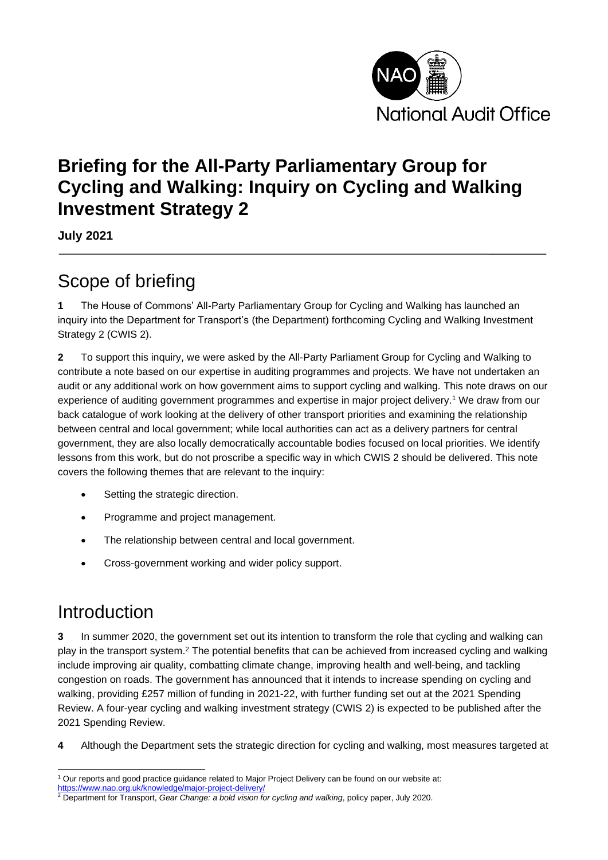

### **Briefing for the All-Party Parliamentary Group for Cycling and Walking: Inquiry on Cycling and Walking Investment Strategy 2**

**July 2021**

# Scope of briefing

**1** The House of Commons' All-Party Parliamentary Group for Cycling and Walking has launched an inquiry into the Department for Transport's (the Department) forthcoming Cycling and Walking Investment Strategy 2 (CWIS 2).

**2** To support this inquiry, we were asked by the All-Party Parliament Group for Cycling and Walking to contribute a note based on our expertise in auditing programmes and projects. We have not undertaken an audit or any additional work on how government aims to support cycling and walking. This note draws on our experience of auditing government programmes and expertise in major project delivery.<sup>1</sup> We draw from our back catalogue of work looking at the delivery of other transport priorities and examining the relationship between central and local government; while local authorities can act as a delivery partners for central government, they are also locally democratically accountable bodies focused on local priorities. We identify lessons from this work, but do not proscribe a specific way in which CWIS 2 should be delivered. This note covers the following themes that are relevant to the inquiry:

- Setting the strategic direction.
- Programme and project management.
- The relationship between central and local government.
- Cross-government working and wider policy support.

### Introduction

**3** In summer 2020, the government set out its intention to transform the role that cycling and walking can play in the transport system.<sup>2</sup> The potential benefits that can be achieved from increased cycling and walking include improving air quality, combatting climate change, improving health and well-being, and tackling congestion on roads. The government has announced that it intends to increase spending on cycling and walking, providing £257 million of funding in 2021-22, with further funding set out at the 2021 Spending Review. A four-year cycling and walking investment strategy (CWIS 2) is expected to be published after the 2021 Spending Review.

**4** Although the Department sets the strategic direction for cycling and walking, most measures targeted at

<sup>1</sup> Our reports and good practice guidance related to Major Project Delivery can be found on our website at:

<https://www.nao.org.uk/knowledge/major-project-delivery/>

<sup>2</sup> Department for Transport, *Gear Change: a bold vision for cycling and walking*, policy paper, July 2020.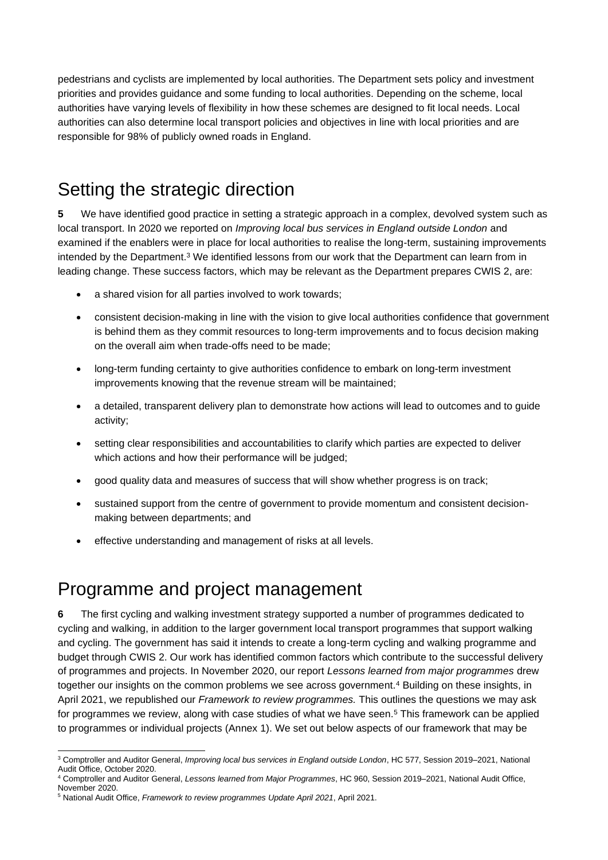pedestrians and cyclists are implemented by local authorities. The Department sets policy and investment priorities and provides guidance and some funding to local authorities. Depending on the scheme, local authorities have varying levels of flexibility in how these schemes are designed to fit local needs. Local authorities can also determine local transport policies and objectives in line with local priorities and are responsible for 98% of publicly owned roads in England.

### Setting the strategic direction

**5** We have identified good practice in setting a strategic approach in a complex, devolved system such as local transport. In 2020 we reported on *Improving local bus services in England outside London* and examined if the enablers were in place for local authorities to realise the long-term, sustaining improvements intended by the Department.<sup>3</sup> We identified lessons from our work that the Department can learn from in leading change. These success factors, which may be relevant as the Department prepares CWIS 2, are:

- a shared vision for all parties involved to work towards;
- consistent decision-making in line with the vision to give local authorities confidence that government is behind them as they commit resources to long-term improvements and to focus decision making on the overall aim when trade-offs need to be made;
- long-term funding certainty to give authorities confidence to embark on long-term investment improvements knowing that the revenue stream will be maintained;
- a detailed, transparent delivery plan to demonstrate how actions will lead to outcomes and to guide activity;
- setting clear responsibilities and accountabilities to clarify which parties are expected to deliver which actions and how their performance will be judged;
- good quality data and measures of success that will show whether progress is on track;
- sustained support from the centre of government to provide momentum and consistent decisionmaking between departments; and
- effective understanding and management of risks at all levels.

### Programme and project management

**6** The first cycling and walking investment strategy supported a number of programmes dedicated to cycling and walking, in addition to the larger government local transport programmes that support walking and cycling. The government has said it intends to create a long-term cycling and walking programme and budget through CWIS 2. Our work has identified common factors which contribute to the successful delivery of programmes and projects. In November 2020, our report *Lessons learned from major programmes* drew together our insights on the common problems we see across government.<sup>4</sup> Building on these insights, in April 2021, we republished our *Framework to review programmes.* This outlines the questions we may ask for programmes we review, along with case studies of what we have seen.<sup>5</sup> This framework can be applied to programmes or individual projects (Annex 1). We set out below aspects of our framework that may be

<sup>3</sup> Comptroller and Auditor General, *Improving local bus services in England outside London*, HC 577, Session 2019–2021, National Audit Office, October 2020.

<sup>4</sup> Comptroller and Auditor General, *Lessons learned from Major Programmes*, HC 960, Session 2019–2021, National Audit Office, November 2020.

<sup>5</sup> National Audit Office, *Framework to review programmes Update April 2021*, April 2021.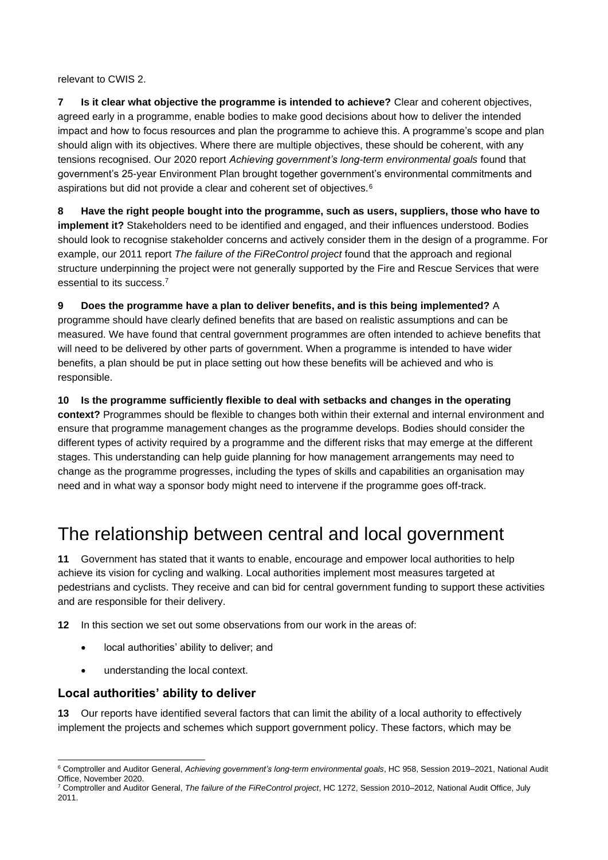relevant to CWIS 2.

**7 Is it clear what objective the programme is intended to achieve?** Clear and coherent objectives, agreed early in a programme, enable bodies to make good decisions about how to deliver the intended impact and how to focus resources and plan the programme to achieve this. A programme's scope and plan should align with its objectives. Where there are multiple objectives, these should be coherent, with any tensions recognised. Our 2020 report *Achieving government's long-term environmental goals* found that government's 25-year Environment Plan brought together government's environmental commitments and aspirations but did not provide a clear and coherent set of objectives.<sup>6</sup>

**8 Have the right people bought into the programme, such as users, suppliers, those who have to implement it?** Stakeholders need to be identified and engaged, and their influences understood. Bodies should look to recognise stakeholder concerns and actively consider them in the design of a programme. For example, our 2011 report *The failure of the FiReControl project* found that the approach and regional structure underpinning the project were not generally supported by the Fire and Rescue Services that were essential to its success.<sup>7</sup>

**9 Does the programme have a plan to deliver benefits, and is this being implemented?** A programme should have clearly defined benefits that are based on realistic assumptions and can be measured. We have found that central government programmes are often intended to achieve benefits that will need to be delivered by other parts of government. When a programme is intended to have wider benefits, a plan should be put in place setting out how these benefits will be achieved and who is responsible.

**10 Is the programme sufficiently flexible to deal with setbacks and changes in the operating context?** Programmes should be flexible to changes both within their external and internal environment and ensure that programme management changes as the programme develops. Bodies should consider the different types of activity required by a programme and the different risks that may emerge at the different stages. This understanding can help guide planning for how management arrangements may need to change as the programme progresses, including the types of skills and capabilities an organisation may need and in what way a sponsor body might need to intervene if the programme goes off-track.

### The relationship between central and local government

**11** Government has stated that it wants to enable, encourage and empower local authorities to help achieve its vision for cycling and walking. Local authorities implement most measures targeted at pedestrians and cyclists. They receive and can bid for central government funding to support these activities and are responsible for their delivery.

**12** In this section we set out some observations from our work in the areas of:

- local authorities' ability to deliver; and
- understanding the local context.

#### **Local authorities' ability to deliver**

**13** Our reports have identified several factors that can limit the ability of a local authority to effectively implement the projects and schemes which support government policy. These factors, which may be

<sup>6</sup> Comptroller and Auditor General, *Achieving government's long-term environmental goals*, HC 958, Session 2019–2021, National Audit Office, November 2020.

<sup>7</sup> Comptroller and Auditor General, *The failure of the FiReControl project*, HC 1272, Session 2010–2012, National Audit Office, July 2011.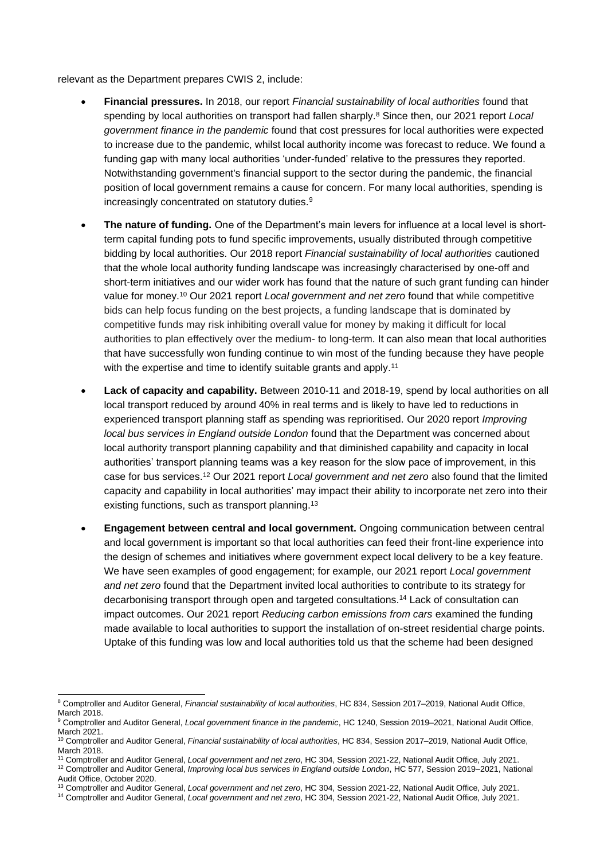relevant as the Department prepares CWIS 2, include:

- **Financial pressures.** In 2018, our report *Financial sustainability of local authorities* found that spending by local authorities on transport had fallen sharply.<sup>8</sup> Since then, our 2021 report *Local government finance in the pandemic* found that cost pressures for local authorities were expected to increase due to the pandemic, whilst local authority income was forecast to reduce. We found a funding gap with many local authorities 'under-funded' relative to the pressures they reported. Notwithstanding government's financial support to the sector during the pandemic, the financial position of local government remains a cause for concern. For many local authorities, spending is increasingly concentrated on statutory duties.<sup>9</sup>
- **The nature of funding.** One of the Department's main levers for influence at a local level is shortterm capital funding pots to fund specific improvements, usually distributed through competitive bidding by local authorities. Our 2018 report *Financial sustainability of local authorities* cautioned that the whole local authority funding landscape was increasingly characterised by one-off and short-term initiatives and our wider work has found that the nature of such grant funding can hinder value for money.<sup>10</sup> Our 2021 report *Local government and net zero* found that while competitive bids can help focus funding on the best projects, a funding landscape that is dominated by competitive funds may risk inhibiting overall value for money by making it difficult for local authorities to plan effectively over the medium- to long-term. It can also mean that local authorities that have successfully won funding continue to win most of the funding because they have people with the expertise and time to identify suitable grants and apply.<sup>11</sup>
- **Lack of capacity and capability.** Between 2010-11 and 2018-19, spend by local authorities on all local transport reduced by around 40% in real terms and is likely to have led to reductions in experienced transport planning staff as spending was reprioritised. Our 2020 report *Improving local bus services in England outside London* found that the Department was concerned about local authority transport planning capability and that diminished capability and capacity in local authorities' transport planning teams was a key reason for the slow pace of improvement, in this case for bus services.<sup>12</sup> Our 2021 report *Local government and net zero* also found that the limited capacity and capability in local authorities' may impact their ability to incorporate net zero into their existing functions, such as transport planning.<sup>13</sup>
- **Engagement between central and local government.** Ongoing communication between central and local government is important so that local authorities can feed their front-line experience into the design of schemes and initiatives where government expect local delivery to be a key feature. We have seen examples of good engagement; for example, our 2021 report *Local government and net zero* found that the Department invited local authorities to contribute to its strategy for decarbonising transport through open and targeted consultations.<sup>14</sup> Lack of consultation can impact outcomes. Our 2021 report *Reducing carbon emissions from cars* examined the funding made available to local authorities to support the installation of on-street residential charge points. Uptake of this funding was low and local authorities told us that the scheme had been designed

<sup>8</sup> Comptroller and Auditor General, *Financial sustainability of local authorities*, HC 834, Session 2017–2019, National Audit Office, March 2018.

<sup>9</sup> Comptroller and Auditor General, *Local government finance in the pandemic*, HC 1240, Session 2019–2021, National Audit Office, March 2021.

<sup>10</sup> Comptroller and Auditor General, *Financial sustainability of local authorities*, HC 834, Session 2017–2019, National Audit Office, March 2018.

<sup>11</sup> Comptroller and Auditor General, *Local government and net zero*, HC 304, Session 2021-22, National Audit Office, July 2021. <sup>12</sup> Comptroller and Auditor General, *Improving local bus services in England outside London*, HC 577, Session 2019–2021, National

Audit Office, October 2020.

<sup>13</sup> Comptroller and Auditor General, *Local government and net zero*, HC 304, Session 2021-22, National Audit Office, July 2021.

<sup>14</sup> Comptroller and Auditor General, *Local government and net zero*, HC 304, Session 2021-22, National Audit Office, July 2021.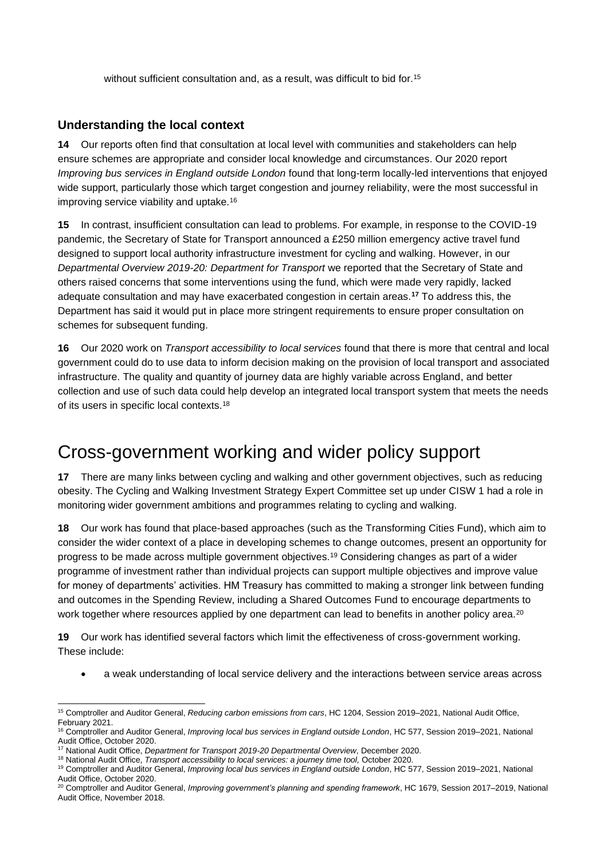without sufficient consultation and, as a result, was difficult to bid for.<sup>15</sup>

#### **Understanding the local context**

**14** Our reports often find that consultation at local level with communities and stakeholders can help ensure schemes are appropriate and consider local knowledge and circumstances. Our 2020 report *Improving bus services in England outside London* found that long-term locally-led interventions that enjoyed wide support, particularly those which target congestion and journey reliability, were the most successful in improving service viability and uptake.<sup>16</sup>

**15** In contrast, insufficient consultation can lead to problems. For example, in response to the COVID-19 pandemic, the Secretary of State for Transport announced a £250 million emergency active travel fund designed to support local authority infrastructure investment for cycling and walking. However, in our *Departmental Overview 2019-20: Department for Transport* we reported that the Secretary of State and others raised concerns that some interventions using the fund, which were made very rapidly, lacked adequate consultation and may have exacerbated congestion in certain areas.**<sup>17</sup>** To address this, the Department has said it would put in place more stringent requirements to ensure proper consultation on schemes for subsequent funding.

**16** Our 2020 work on *Transport accessibility to local services* found that there is more that central and local government could do to use data to inform decision making on the provision of local transport and associated infrastructure. The quality and quantity of journey data are highly variable across England, and better collection and use of such data could help develop an integrated local transport system that meets the needs of its users in specific local contexts.<sup>18</sup>

### Cross-government working and wider policy support

**17** There are many links between cycling and walking and other government objectives, such as reducing obesity. The Cycling and Walking Investment Strategy Expert Committee set up under CISW 1 had a role in monitoring wider government ambitions and programmes relating to cycling and walking.

**18** Our work has found that place-based approaches (such as the Transforming Cities Fund), which aim to consider the wider context of a place in developing schemes to change outcomes, present an opportunity for progress to be made across multiple government objectives.<sup>19</sup> Considering changes as part of a wider programme of investment rather than individual projects can support multiple objectives and improve value for money of departments' activities. HM Treasury has committed to making a stronger link between funding and outcomes in the Spending Review, including a Shared Outcomes Fund to encourage departments to work together where resources applied by one department can lead to benefits in another policy area.<sup>20</sup>

**19** Our work has identified several factors which limit the effectiveness of cross-government working. These include:

• a weak understanding of local service delivery and the interactions between service areas across

<sup>15</sup> Comptroller and Auditor General, *Reducing carbon emissions from cars*, HC 1204, Session 2019–2021, National Audit Office, February 2021.

<sup>16</sup> Comptroller and Auditor General, *Improving local bus services in England outside London*, HC 577, Session 2019–2021, National Audit Office, October 2020.

<sup>17</sup> National Audit Office, *Department for Transport 2019-20 Departmental Overview*, December 2020.

<sup>18</sup> National Audit Office, *Transport accessibility to local services: a journey time tool,* October 2020.

<sup>19</sup> Comptroller and Auditor General, *Improving local bus services in England outside London*, HC 577, Session 2019–2021, National Audit Office, October 2020.

<sup>20</sup> Comptroller and Auditor General, *Improving government's planning and spending framework*, HC 1679, Session 2017–2019, National Audit Office, November 2018.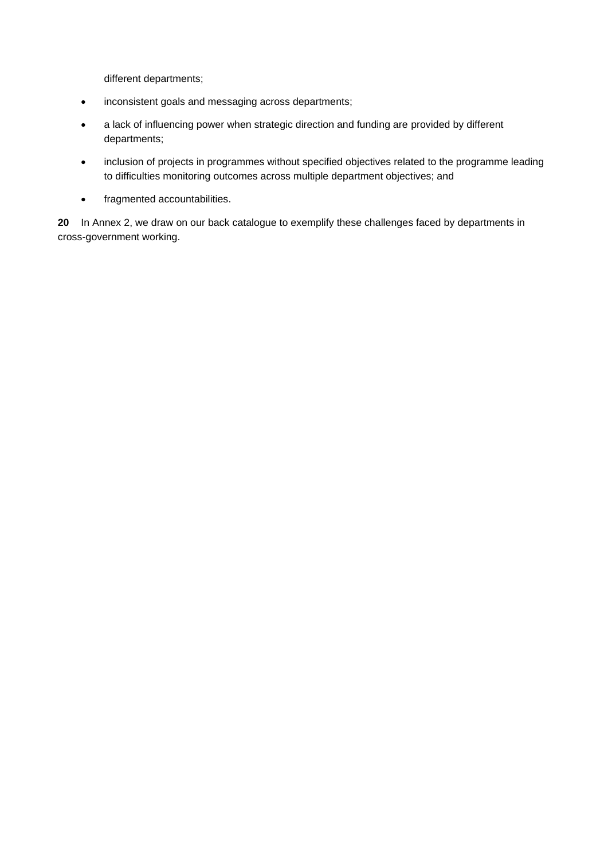different departments;

- inconsistent goals and messaging across departments;
- a lack of influencing power when strategic direction and funding are provided by different departments;
- inclusion of projects in programmes without specified objectives related to the programme leading to difficulties monitoring outcomes across multiple department objectives; and
- fragmented accountabilities.

**20** In Annex 2, we draw on our back catalogue to exemplify these challenges faced by departments in cross-government working.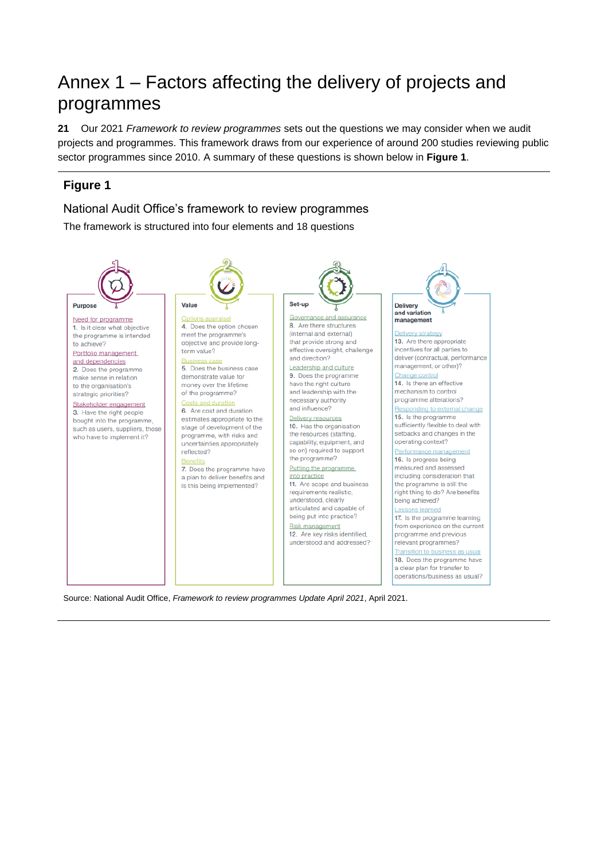# Annex 1 – Factors affecting the delivery of projects and programmes

**21** Our 2021 *Framework to review programmes* sets out the questions we may consider when we audit projects and programmes. This framework draws from our experience of around 200 studies reviewing public sector programmes since 2010. A summary of these questions is shown below in **Figure 1**.

### **Figure 1**

#### National Audit Office's framework to review programmes

The framework is structured into four elements and 18 questions



Source: National Audit Office, *Framework to review programmes Update April 2021*, April 2021.